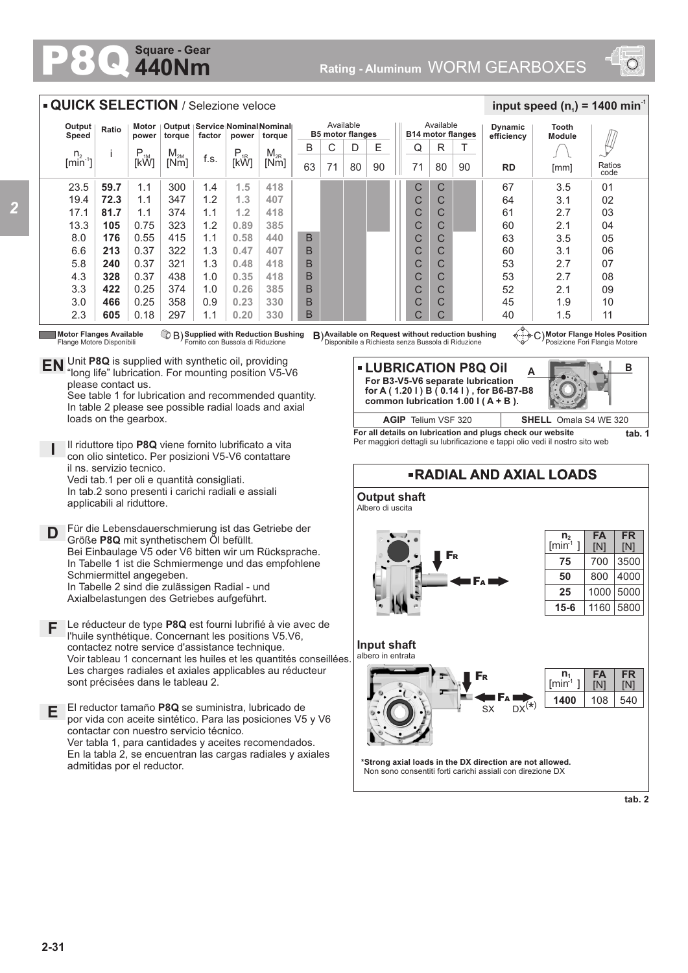## **440Nm Square - Gear**



## 80 23.5 19.4 17.1 13.3 8.0 6.6 5.8 4.3 3.3 3.0 2.3 **59.7 72.3 81.7 105 176 213 240 328 422 466 605** n.  $[min^{-1}]$ i P<br>[kW]  $M_{2M}$ <br>Mml  $\begin{array}{c|c|c|c} \mathsf{M}_{\mathsf{2M}} & \mathsf{f.s.} & \mathsf{P}_{\mathsf{1R}} & \mathsf{M}_{\mathsf{2R}} \ \hline \mathsf{[Nm]} & \mathsf{[KW]} & \mathsf{[KW]} \end{array}$ **Output Speed Ratio Motor power Output torque Service Nominal Nominal factor power torque QUICK SELECTION** / Selezione veloce Available **B5 motor flanges RD Dynamic efficiency** 67 64 61 60  $63$ 60 53 53 52 45 40 3.5 3.1 2.7 2.1 3.5 3.1 2.7 2.7 2.1 1.9 1.5 Ratios code  $0<sub>1</sub>$ 02 03 04 05  $\Omega$ 07 08 09 10 11 **Tooth Module**  $\frac{1}{2}$  **input speed (n**<sub>1</sub>) = 1400 min<sup>-1</sup> Available **B14 motor flanges** D E || Q R 90 T C C C C C C C C  $\overline{C}$ C  $\mathcal{C}$  $B \mid C$ 63 71 80 90 71 B B B B B B B  $\mathcal{C}$ C C C  $\overline{C}$ C C C C C C 1.1 1.1 1.1 0.75 0.55 0.37 0.37 0.37 0.25 0.25 0.18 300 347 374 323 415 322 321 438 374 358 297 1.4 1.2 1.1 1.2 1.1 1.3 1.3 1.0 1.0 0.9 1.1 [mm] **1.5 1.3 1.2 0.89 0.58 0.47 0.48 0.35 0.26 0.23 0.20 418 407 418 385 440 407 418 418 385 330 330**

*2*

Flange Motore Disponibili

**D**

**I**

**F**

**E**

please contact us.

loads on the gearbox.

il ns. servizio tecnico.

applicabili al riduttore.

Schmiermittel angegeben.

sont précisées dans le tableau 2.

admitidas por el reductor.

contactar con nuestro servicio técnico.

**Supplied with Reduction Bushing** Fornito con Bussola di Riduzione B) **B**)

Unit **P8Q** is supplied with synthetic oil, providing **EN** Unit P8Q is supplied with synthetic oil, providing<br>"long life" lubrication. For mounting position V5-V6

Il riduttore tipo **P8Q** viene fornito lubrificato a vita con olio sintetico. Per posizioni V5-V6 contattare

Für die Lebensdauerschmierung ist das Getriebe der

l'huile synthétique. Concernant les positions V5.V6, contactez notre service d'assistance technique.

El reductor tamaño **P8Q** se suministra, lubricado de

Vedi tab.1 per oli e quantità consigliati. In tab.2 sono presenti i carichi radiali e assiali

Größe **P8Q** mit synthetischem Öl befüllt.

In Tabelle 2 sind die zulässigen Radial - und Axialbelastungen des Getriebes aufgeführt.

See table 1 for lubrication and recommended quantity. In table 2 please see possible radial loads and axial

**Motor Flanges Available ① B) Supplied with Reduction Bushing B)Available on Request without reduction bushing ④……<br>Flange Motore Disponibili Fornito con Bussola di Riduzione Disponibile a Richiesta senza Bu** 

**Motor Flange Holes Position** Posizione Fori Flangia Motore

**A LUBRICATION P8Q Oil For B3-V5-V6 separate lubrication for A ( 1.20 l ) B ( 0.14 l ) , for B6-B7-B8 common lubrication 1.00 l ( A + B ).** 



**For all details on lubrication and plugs check our website tab. 1** Per maggiori dettagli su lubrificazione e tappi olio vedi il nostro sito web



**2-31**